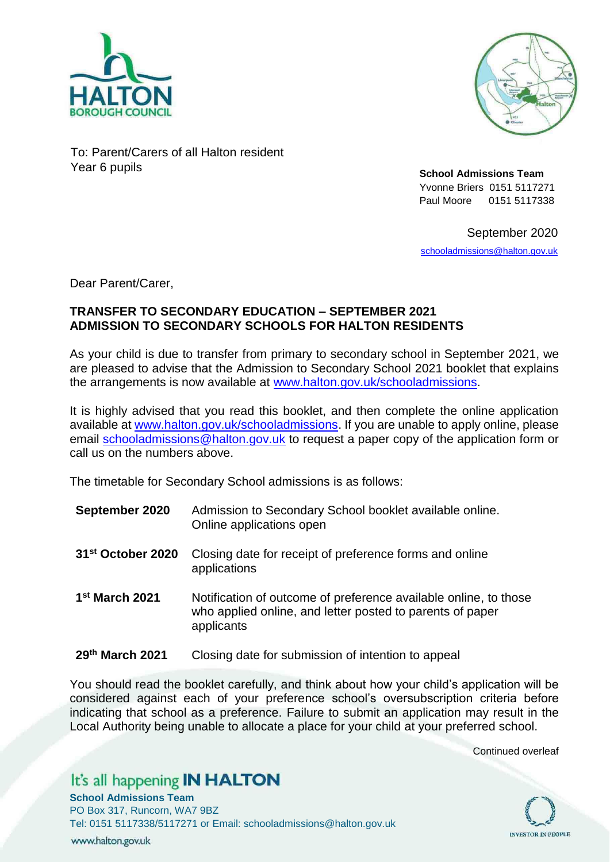



To: Parent/Carers of all Halton resident Year 6 pupils **School Admissions Team**

Yvonne Briers 0151 5117271 Paul Moore 0151 5117338

September 2020

[schooladmissions@halton.gov.uk](mailto:schooladmissions@halton.gov.uk)

Dear Parent/Carer,

## **TRANSFER TO SECONDARY EDUCATION – SEPTEMBER 2021 ADMISSION TO SECONDARY SCHOOLS FOR HALTON RESIDENTS**

As your child is due to transfer from primary to secondary school in September 2021, we are pleased to advise that the Admission to Secondary School 2021 booklet that explains the arrangements is now available at [www.halton.gov.uk/schooladmissions.](http://www.halton.gov.uk/schooladmissions)

It is highly advised that you read this booklet, and then complete the online application available at [www.halton.gov.uk/schooladmissions.](http://www.halton.gov.uk/schooladmissions) If you are unable to apply online, please email [schooladmissions@halton.gov.uk](mailto:schooladmissions@halton.gov.uk) to request a paper copy of the application form or call us on the numbers above.

The timetable for Secondary School admissions is as follows:

- **September 2020** Admission to Secondary School booklet available online. Online applications open
- **31st October 2020** Closing date for receipt of preference forms and online applications
- 1<sup>st</sup> March 2021 Notification of outcome of preference available online, to those who applied online, and letter posted to parents of paper applicants
- **29th March 2021** Closing date for submission of intention to appeal

You should read the booklet carefully, and think about how your child's application will be considered against each of your preference school's oversubscription criteria before indicating that school as a preference. Failure to submit an application may result in the Local Authority being unable to allocate a place for your child at your preferred school.

Continued overleaf

**INVESTOR IN PEOPLE** 

## It's all happening IN HALTON

**School Admissions Team**

PO Box 317, Runcorn, WA7 9BZ Tel: 0151 5117338/5117271 or Email: schooladmissions@halton.gov.uk www.halton.gov.uk